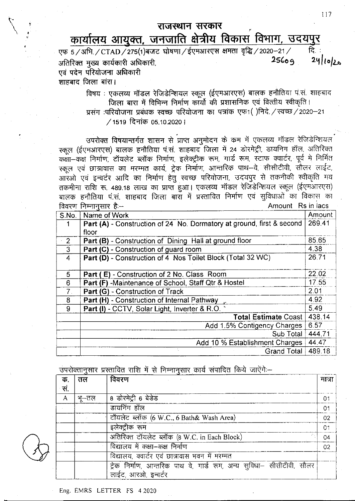## राजस्थान सरकार

## कार्यालय आयुक्त, जनजाति क्षेत्रीय विकास विभा<u>ग, उदयपुर</u>

एफ 5/अभि./CTAD/275(1) बजट घोषणा/ईएमआरएस क्षमता वृद्धि/2020-21/ : वि  $24|10|20$  $25609$ अतिरिक्त मुख्य कार्यकारी अधिकारी, एवं पदेन परियोजना अधिकारी

शाहबाद जिला बांरा।

विषय : एकलव्य मॉडल रेजिडेन्शियल स्कूल (ईएमआरएस) बालक हनौतिया पं.सं. शाहबाद जिला बारा में विभिन्न निर्माण कार्यो की प्रशासनिक एवं वित्तीय स्वीकृति । प्रसंग :परियोजना प्रबंधक स्वच्छ परियोजना का पत्रांक एफ1 ()निदे. / स्वच्छ / 2020-21

/1519 दिनांक 05,10.2020 |

उपरोक्त विषयान्तर्गत शासन से प्राप्त अनुमोदन के कम में एकलव्य मॉडल रेजिडेन्शियल स्कूल (ईएमआरएस) बालक हनौतिया पं.सं. शाहबाद जिला में 24 डोरमेट्री, डायनिग हॉल, अतिरिक्त कक्षा-कक्ष निर्माण, टॉयलेट ब्लॉक निर्माण, इलेक्ट्रीक रूम, गार्ड रूम, स्टाफ क्वार्टर, पूर्व मे निर्मित स्कूल एवं छात्रावास का मरम्मत कार्य, ट्रेक निर्माण, आन्तरिक पाथ-वे, सीसीटीवी, सौलर लाईट, आरंओ एवं इन्वर्टर आदि का निर्माण हेतु स्वच्छ परियोजना, उदयपुर से तकनीकी स्वीकृति मय तकमीना राशि रू. 489.18 लाख का प्राप्त हुआ। एकलव्य मॉडल रेजिडेन्शियल स्कूल (ईएमआरएस) बालक हनौतिया पं.सं. शाहबाद जिला बारा में प्रस्तावित निर्माण एवं सुविधाओं का विकास का विवरण निम्नानसार है:-Amount Rs in lacs

| S.No.          | Name of Work                                                          | Amount<br>269.41 |  |
|----------------|-----------------------------------------------------------------------|------------------|--|
|                | Part (A) - Construction of 24 No. Dormatory at ground, first & second |                  |  |
|                | floor                                                                 |                  |  |
| 2              | Part (B) - Construction of Dining Hall at ground floor                | 85.65            |  |
| $\mathbf{3}$   | Part (C) - Construction of guard room                                 | 4.38             |  |
| 4              | Part (D) - Construction of 4 Nos Toilet Block (Total 32 WC)           | 26.71            |  |
|                |                                                                       |                  |  |
| 5              | Part (E) - Construction of 2 No. Class Room                           | 22.02            |  |
| 6              | Part (F) -Maintenance of School, Staff Qtr & Hostel                   | 17.55            |  |
| 7 <sub>1</sub> | Part (G) - Construction of Track                                      | 2.01             |  |
| 8              | Part (H) - Construction of Internal Pathway                           | 4.92             |  |
| 9              | Part (I) - CCTV, Solar Light, Inverter & R.O.                         | 5.49             |  |
|                | <b>Total Estimate Coast</b>                                           | 438.14           |  |
|                | Add 1.5% Contigency Charges                                           | 6.57             |  |
|                | Sub Total                                                             | 444.71           |  |
|                | Add 10 % Establishment Charges                                        | 44.47            |  |
|                | <b>Grand Total</b>                                                    | 489.18           |  |

उपरोक्तानुसार प्रस्तावित राशि में से निम्नानुसार कार्य संपादित किये जाऐंगे:--

| क.           | तल    | विवरण                                                                                        | गात्रा         |
|--------------|-------|----------------------------------------------------------------------------------------------|----------------|
| सं.          |       |                                                                                              |                |
| $\mathsf{A}$ | भू—तल | 8 डोरमेट्री 6 बेडेड                                                                          | 01             |
|              |       | डायनिंग हॉल                                                                                  | 0 <sub>1</sub> |
|              |       | टॉयलेट ब्लॉक (6 W.C., 6 Bath& Wash Area)                                                     | 02             |
|              |       | इलेक्ट्रीक रूम                                                                               | 01             |
|              |       | अतिरिक्त टॉयलेट ब्लॉक (8 W.C. in Each Block)                                                 | 04             |
|              |       | विद्यालय में कक्षा-कक्ष निर्माण                                                              | 02             |
|              |       | विद्यालय, क्वार्टर एवं छात्रावास भवन में मरम्मत                                              |                |
|              |       | ट्रेक निर्माण, आन्तरिक पाथ वे, गार्ड रूम, अन्य सुविधा— सीसीटीवी, सौलर<br>लाईट, आरओ, इन्वर्टर |                |

Eng. EMRS LETTER FS 4 2020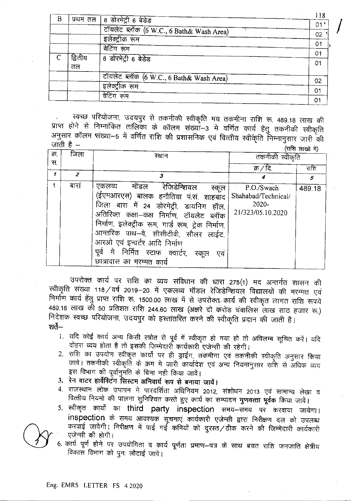| B |         | प्रथम तल   8 डोरमेट्री 6 बेडेड           | 18             |
|---|---------|------------------------------------------|----------------|
|   |         |                                          | 01'            |
|   |         | टॉयलेट ब्लॉक (6 W.C., 6 Bath& Wash Area) | 02             |
|   |         | इलेक्ट्रीक रूम                           | 01             |
|   |         | वेटिंग रूम                               | 01             |
|   | द्वितीय | 8 डोरमेट्री 6 बेडेड                      | 01             |
|   | तल      |                                          |                |
|   |         | टॉयलेट ब्लॉक (6 W.C., 6 Bath& Wash Area) | 02             |
|   |         | इलेक्ट्रीक रूम                           | 01             |
|   |         | वेटिंग रूम                               | O <sub>1</sub> |

स्वच्छ परियोजना, उदयपुर से तकनीकी स्वीकृति मय तकमीना राशि रू. 489.18 लाख की प्राप्त होने से निम्नांकित तालिका के कॉलम संख्यां-3 मे वर्णित कार्य हेतु तकनीकी स्वीकृति अनुसार कॉलम संख्या-5 में वर्णित राशि की प्रशासनिक एवं वित्तीय स्वीकृति निम्नानुसार जारी की जाती है –

|      |      |                                                                                                                                                                                                                                                                                                                                                                                                |                                                                 | (सारा लाखा म) |
|------|------|------------------------------------------------------------------------------------------------------------------------------------------------------------------------------------------------------------------------------------------------------------------------------------------------------------------------------------------------------------------------------------------------|-----------------------------------------------------------------|---------------|
| क्र, | जिला | स्थान                                                                                                                                                                                                                                                                                                                                                                                          | तकनीकी स्वीकृति                                                 |               |
| स.   |      |                                                                                                                                                                                                                                                                                                                                                                                                |                                                                 |               |
|      |      |                                                                                                                                                                                                                                                                                                                                                                                                | क्र / दि                                                        | राशि          |
|      | 2    | 3                                                                                                                                                                                                                                                                                                                                                                                              |                                                                 | 5             |
|      | बारा | रेजिडेन्शियल<br>एकलव्य<br>मॉडल<br>स्कूल<br>(ईएमआरएस) बालक हनौतिया पं.सं. शाहबाद<br>जिला बारा में 24 डोरमेट्री, डायनिग<br>हॉल,<br>अतिरिक्त कक्षा--कक्ष निर्माण, टॉयलेट ब्लॉक<br>निर्माण, इलेक्ट्रीक रूम, गार्ड रूम, ट्रेक निर्माण,<br>आन्तरिक पाथ-वे, सीसीटीवी, सौलर लाईट,<br>आरओ एवं इन्वर्टर आदि निर्माण<br>निर्मित स्टाफ क्वार्टर,<br>मे<br>पुर्व<br>स्कल<br>एव<br>छात्रावास का मरम्मत कार्य | P.O./Swach<br>Shahabad/Technical/<br>2020-<br>21/323/05.10.2020 | 489.18        |

उपरोक्त कार्य पर राशि का व्यय संविधान की धारा 275(1) मद अन्तर्गत शासन की स्वीकृति संख्या 118 ⁄ वर्ष 2019–20 में एकलव्य मॉडल रेजिडेन्शियल विद्यालयों की मरम्मत एवं निर्माण कार्य हेंतु प्राप्त राशि रू. 1500.00 लाख में से उपरोक्त कार्य की स्वीकृत लागत राशि रूपये 489.18 लाख की 50 प्रतिशत राशि 244.60 लाख (अक्षरे दो करोड चंवालिस लाख साठ हजार रू.) निदेशक स्वच्छ परियोजना, उदयपुर को हस्तांतरित करने की स्वीकृति प्रदान की जाती है। <del>शर्ते</del>—

- 1. यदि कोई कार्य अन्य किसी स्त्रोत से पूर्व में स्वीकृत हो गया हो तो अविलम्ब सूचित करें। यदि दोहरा व्यय होता है तो इसकी जिम्मेदारी कार्यकारी एजेन्सी की रहेगी।
- 2. राशि का उपयोग स्वीकृत कार्यो पर ही ड्राईंग, तकमीना एवं तकनीकी स्वीकृति अनुसार किया जावे। तकनीकी स्वीकृति के क्रम मे जारी कार्यादेश एवं अन्य नियमानुसार राशि से अधिक व्यय इस विभाग की पूर्वानुमति के बिना नही किया जावें।
- 3. रेन वाटर हार्वेस्टिंग सिस्टम अनिवार्य रूप से बनाया जावें।
- 4. राजस्थान लोक उपापन मे पारदर्शिता अधिनियम 2012, संशोधन 2013 एवं सामान्य लेखा व वित्तीय नियमो की पालना सुनिश्चित करते हुए कार्य का सम्पादन **गुणवत्ता पूर्वक** किया जावें।
- 5. स्वीकृत कार्यो का third party inspection समय-समय पर करवाया जायेगा। inspection के समय आवश्यक सूचनाएं कार्यकारी एजेन्सी द्वारा निरीक्षण दल को उपलब्ध करवाई जावेगी। निरीक्षण में पाई गई कमियों को दुरस्त/ठीक करने की जिम्मेदारी कार्यकारी एजेन्सी की होगी।
- 6. कार्य पूर्ण होने पर उपयोगिता व कार्य पूर्णता प्रमाण–पत्र के साथ बचत राशि जनजाति क्षेत्रीय विकास विभाग को पुनः लौटाई जावे।